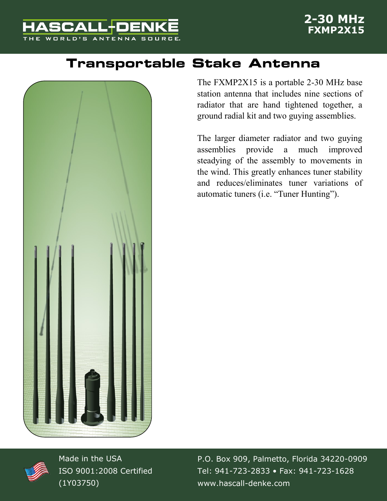

## **Transportable Stake Antenna**



The FXMP2X15 is a portable 2-30 MHz base station antenna that includes nine sections of radiator that are hand tightened together, a ground radial kit and two guying assemblies.

The larger diameter radiator and two guying assemblies provide a much improved steadying of the assembly to movements in the wind. This greatly enhances tuner stability and reduces/eliminates tuner variations of automatic tuners (i.e. "Tuner Hunting").



Made in the USA ISO 9001:2008 Certified (1Y03750)

P.O. Box 909, Palmetto, Florida 34220-0909 Tel: 941-723-2833 • Fax: 941-723-1628 www.hascall-denke.com